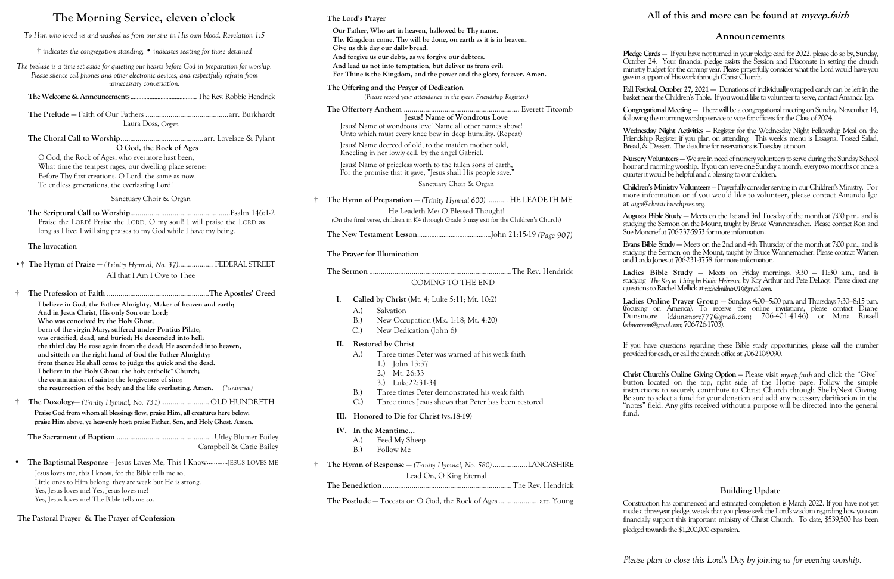# **The Morning Service, eleven o**'**clock**

*To Him who loved us and washed us from our sins in His own blood. Revelation 1:5*

† *indicates the congregation standing;* • *indicates seating for those detained*

*The prelude is a time set aside for quieting our hearts before God in preparation for worship. Please silence cell phones and other electronic devices, and respectfully refrain from unnecessary conversation.*

**The Welcome & Announcements**..........................................The Rev. Robbie Hendrick

**The Scriptural Call to Worship**....................................................Psalm 146:1-2 Praise the LORD! Praise the LORD, O my soul! I will praise the LORD as long as I live; I will sing praises to my God while I have my being.

**The Prelude —** Faith of Our Fathers ...........................................arr. Burkhardt Laura Doss, *Organ*

**The Choral Call to Worship**...........................................arr. Lovelace & Pylant **O God, the Rock of Ages**

O God, the Rock of Ages, who evermore hast been, What time the tempest rages, our dwelling place serene: Before Thy first creations, O Lord, the same as now, To endless generations, the everlasting Lord!

Sanctuary Choir & Organ

#### **The Invocation**

- •† **The Hymn of Praise —** *(Trinity Hymnal, No. 37)*.................. FEDERAL STREET All that I Am I Owe to Thee
- † **The Profession of Faith** .....................................................**The Apostles' Creed**

**I believe in God, the Father Almighty, Maker of heaven and earth; And in Jesus Christ, His only Son our Lord; Who was conceived by the Holy Ghost, born of the virgin Mary, suffered under Pontius Pilate, was crucified, dead, and buried; He descended into hell; the third day He rose again from the dead; He ascended into heaven, and sitteth on the right hand of God the Father Almighty; from thence He shall come to judge the quick and the dead. I believe in the Holy Ghost; the holy catholic\* Church; the communion of saints; the forgiveness of sins; the resurrection of the body and the life everlasting. Amen.** *(\*universal)* Jesus! Name of priceless worth to the fallen sons of earth, For the promise that it gave, "Jesus shall His people save."

† **The Doxology—** *(Trinity Hymnal, No. 731)*......................... OLD HUNDRETH **Praise God from whom all blessings flow; praise Him, all creatures here below; praise Him above, ye heavenly host: praise Father, Son, and Holy Ghost. Amen.**

**The Sacrament of Baptism** .................................................. Utley Blumer Bailey Campbell & Catie Bailey

• **The Baptismal Response** – Jesus Loves Me, This I Know............JESUS LOVES ME Jesus loves me, this I know, for the Bible tells me so; Little ones to Him belong, they are weak but He is strong. Yes, Jesus loves me! Yes, Jesus loves me! Yes, Jesus loves me! The Bible tells me so.

**The Pastoral Prayer & The Prayer of Confession**

Fall Festival, October 27, 2021 - Donations of individually wrapped candy can be left in the basket near the Children's Table. If you would like to volunteer to serve, contact Amanda Igo.

#### **The Lord's Prayer**

**Our Father, Who art in heaven, hallowed be Thy name. Thy Kingdom come, Thy will be done, on earth as it is in heaven. Give us this day our daily bread. And forgive us our debts, as we forgive our debtors. And lead us not into temptation, but deliver us from evil: For Thine is the Kingdom, and the power and the glory, forever. Amen.**

**The Offering and the Prayer of Dedication**

*(Please record your attendance in the green Friendship Register.)*

**Augusta Bible Study —** Meets on the 1st and 3rd Tuesday of the month at 7:00 p.m., and is studying the Sermon on the Mount, taught by Bruce Wannemacher. Please contact Ron and Sue Moncrief at 706-737-5953 for more information.

**The Offertory Anthem** ............................................................ Everett Titcomb **Jesus! Name of Wondrous Love** Jesus! Name of wondrous love! Name all other names above! Unto which must every knee bow in deep humility. (Repeat)

Jesus! Name decreed of old, to the maiden mother told, Kneeling in her lowly cell, by the angel Gabriel.

> Ladies Bible Study – Meets on Friday mornings, 9:30 – 11:30 a.m., and is studying *The Key to Living by Faith: Hebrews*, by Kay Arthur and Pete DeLacy. Please direct any questions to Rachel Mellick at *rachelmilner01@gmail.com.*

> If you have questions regarding these Bible study opportunities, please call the number provided for each, or call the church office at 706-210-9090.

Sanctuary Choir & Organ

† **The Hymn of Preparation —** *(Trinity Hymnal 600)* ........... HE LEADETH ME He Leadeth Me: O Blessed Thought!

*(*On the final verse, children in K4 through Grade 3 may exit for the Children's Church)

**The New Testament Lesson**..........................................John 21:15-19 *(Page 907)*

#### **The Prayer for Illumination**

**The Sermon** ..........................................................................The Rev. Hendrick

### COMING TO THE END

- **I. Called by Christ** (Mt. 4; Luke 5:11; Mt. 10:2)
	- A.) Salvation
	- B.) New Occupation (Mk. 1:18; Mt. 4:20)
	- C.) New Dedication (John 6)

#### **II. Restored by Christ**

- A.) Three times Peter was warned of his weak faith
	- 1.) John 13:37
	- 2.) Mt. 26:33
	- 3.) Luke22:31-34
- B.) Three times Peter demonstrated his weak faith
- C.) Three times Jesus shows that Peter has been restored
- **III. Honored to Die for Christ (vs.18-19)**

#### **IV. In the Meantime...**

A.) Feed My Sheep B.) Follow Me

† **The Hymn of Response —** *(Trinity Hymnal, No. 580)*..................LANCASHIRE Lead On, O King Eternal

**The Benediction**...................................................................The Rev. Hendrick

**The Postlude —** Toccata on O God, the Rock of Ages.....................arr. Young

*Please plan to close this Lord's Day by joining us for evening worship.*

#### **Announcements**

**Pledge Cards —** If you have not turned in your pledge card for 2022, please do so by, Sunday, October 24.Your financial pledge assists the Session and Diaconate in setting the church ministry budget for the coming year. Please prayerfully consider what the Lord would have you give in support of His work through Christ Church.

**Congregational Meeting —** There will be a congregational meeting on Sunday, November 14, following the morning worship service to vote for officers for the Class of 2024.

**Wednesday Night Activities** — Register for the Wednesday Night Fellowship Meal on the Friendship Register if you plan on attending. This week's menu is Lasagna, Tossed Salad, Bread, & Dessert. The deadline for reservations is Tuesday at noon.

**Nursery Volunteers** —We are in need of nursery volunteers to serve during the Sunday School hour and morning worship. If you can serve one Sunday a month, every two months or once a quarter it would be helpful and a blessing to our children.

**Children's Ministry Volunteers**—Prayerfully consider serving in our Children's Ministry. For more information or if you would like to volunteer, please contact Amanda Igo at *aigo@christchurchpres.org.*

**Evans Bible Study —** Meets on the 2nd and 4th Thursday of the month at 7:00 p.m., and is studying the Sermon on the Mount, taught by Bruce Wannemacher. Please contact Warren and Linda Jones at 706-231-3758 for more information.

**Ladies Online Prayer Group** — Sundays 4:00—5:00 p.m. and Thursdays 7:30—8:15 p.m. (focusing on America). To receive the online invitations, please contact Diane Dunsmore (ddunsmore777@gmail.com; 706-401-4146) or Maria Russell (*edmarman@gmail.com*; 706-726-1703).

**Christ Church's Online Giving Option** — Please visit *myccp.faith* and click the "Give" button located on the top, right side of the Home page. Follow the simple instructions to securely contribute to Christ Church through ShelbyNext Giving. Be sure to select a fund for your donation and add any necessary clarification in the "notes" field. Any gifts received without a purpose will be directed into the general

fund.

#### **Building Update**

Construction has commenced and estimated completion is March 2022. If you have not yet made a three-year pledge, we ask that you please seek the Lord's wisdom regarding how you can financially support this important ministry of Christ Church. To date, \$539,500 has been pledged towards the \$1,200,000 expansion.

## **All of this and more can be found at myccp.faith**